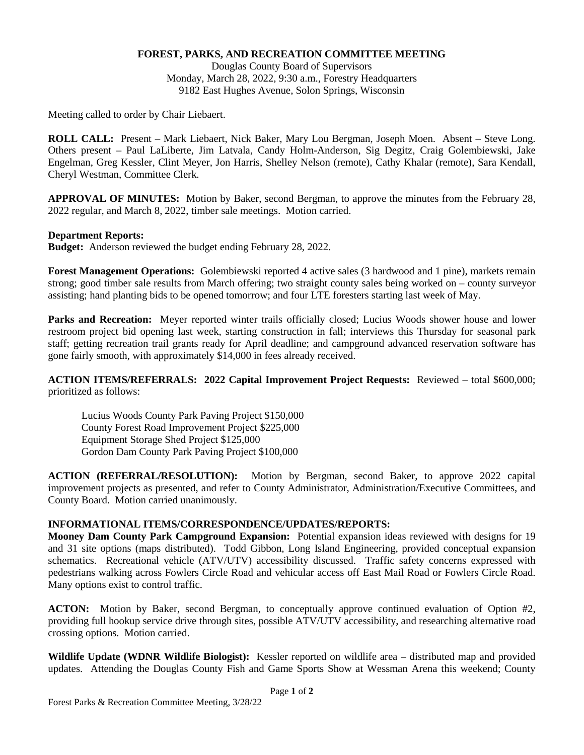## **FOREST, PARKS, AND RECREATION COMMITTEE MEETING**

Douglas County Board of Supervisors Monday, March 28, 2022, 9:30 a.m., Forestry Headquarters 9182 East Hughes Avenue, Solon Springs, Wisconsin

Meeting called to order by Chair Liebaert.

**ROLL CALL:** Present – Mark Liebaert, Nick Baker, Mary Lou Bergman, Joseph Moen. Absent – Steve Long. Others present – Paul LaLiberte, Jim Latvala, Candy Holm-Anderson, Sig Degitz, Craig Golembiewski, Jake Engelman, Greg Kessler, Clint Meyer, Jon Harris, Shelley Nelson (remote), Cathy Khalar (remote), Sara Kendall, Cheryl Westman, Committee Clerk.

**APPROVAL OF MINUTES:** Motion by Baker, second Bergman, to approve the minutes from the February 28, 2022 regular, and March 8, 2022, timber sale meetings. Motion carried.

## **Department Reports:**

**Budget:** Anderson reviewed the budget ending February 28, 2022.

**Forest Management Operations:** Golembiewski reported 4 active sales (3 hardwood and 1 pine), markets remain strong; good timber sale results from March offering; two straight county sales being worked on – county surveyor assisting; hand planting bids to be opened tomorrow; and four LTE foresters starting last week of May.

**Parks and Recreation:** Meyer reported winter trails officially closed; Lucius Woods shower house and lower restroom project bid opening last week, starting construction in fall; interviews this Thursday for seasonal park staff; getting recreation trail grants ready for April deadline; and campground advanced reservation software has gone fairly smooth, with approximately \$14,000 in fees already received.

**ACTION ITEMS/REFERRALS: 2022 Capital Improvement Project Requests:** Reviewed – total \$600,000; prioritized as follows:

Lucius Woods County Park Paving Project \$150,000 County Forest Road Improvement Project \$225,000 Equipment Storage Shed Project \$125,000 Gordon Dam County Park Paving Project \$100,000

**ACTION (REFERRAL/RESOLUTION):** Motion by Bergman, second Baker, to approve 2022 capital improvement projects as presented, and refer to County Administrator, Administration/Executive Committees, and County Board. Motion carried unanimously.

## **INFORMATIONAL ITEMS/CORRESPONDENCE/UPDATES/REPORTS:**

**Mooney Dam County Park Campground Expansion:** Potential expansion ideas reviewed with designs for 19 and 31 site options (maps distributed). Todd Gibbon, Long Island Engineering, provided conceptual expansion schematics. Recreational vehicle (ATV/UTV) accessibility discussed. Traffic safety concerns expressed with pedestrians walking across Fowlers Circle Road and vehicular access off East Mail Road or Fowlers Circle Road. Many options exist to control traffic.

**ACTON:** Motion by Baker, second Bergman, to conceptually approve continued evaluation of Option #2, providing full hookup service drive through sites, possible ATV/UTV accessibility, and researching alternative road crossing options. Motion carried.

**Wildlife Update (WDNR Wildlife Biologist):** Kessler reported on wildlife area – distributed map and provided updates. Attending the Douglas County Fish and Game Sports Show at Wessman Arena this weekend; County